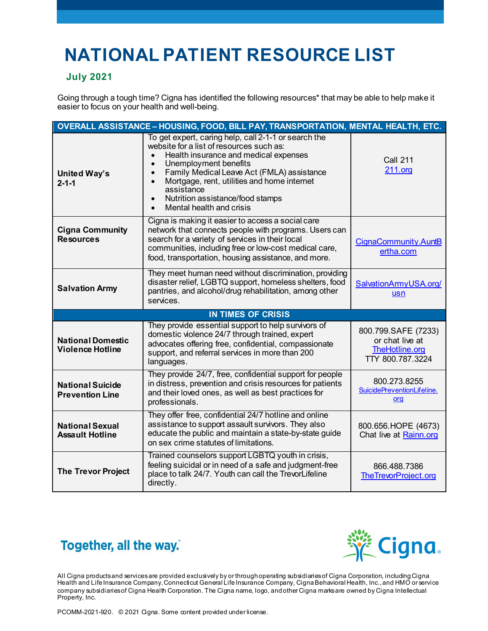## **NATIONAL PATIENT RESOURCE LIST**

## **July 2021**

Going through a tough time? Cigna has identified the following resources\* that may be able to help make it easier to focus on your health and well-being.

| OVERALL ASSISTANCE - HOUSING, FOOD, BILL PAY, TRANSPORTATION, MENTAL HEALTH, ETC. |                                                                                                                                                                                                                                                                                                                                                                                                                |                                                                              |  |
|-----------------------------------------------------------------------------------|----------------------------------------------------------------------------------------------------------------------------------------------------------------------------------------------------------------------------------------------------------------------------------------------------------------------------------------------------------------------------------------------------------------|------------------------------------------------------------------------------|--|
| <b>United Way's</b><br>$2 - 1 - 1$                                                | To get expert, caring help, call 2-1-1 or search the<br>website for a list of resources such as:<br>Health insurance and medical expenses<br>Unemployment benefits<br>$\bullet$<br>Family Medical Leave Act (FMLA) assistance<br>$\bullet$<br>Mortgage, rent, utilities and home internet<br>$\bullet$<br>assistance<br>Nutrition assistance/food stamps<br>$\bullet$<br>Mental health and crisis<br>$\bullet$ | <b>Call 211</b><br>211.org                                                   |  |
| <b>Cigna Community</b><br><b>Resources</b>                                        | Cigna is making it easier to access a social care<br>network that connects people with programs. Users can<br>search for a variety of services in their local<br>communities, including free or low-cost medical care,<br>food, transportation, housing assistance, and more.                                                                                                                                  | CignaCommunity.AuntB<br>ertha.com                                            |  |
| <b>Salvation Army</b>                                                             | They meet human need without discrimination, providing<br>disaster relief, LGBTQ support, homeless shelters, food<br>pantries, and alcohol/drug rehabilitation, among other<br>services.                                                                                                                                                                                                                       | SalvationArmyUSA.org/<br><b>usn</b>                                          |  |
| <b>IN TIMES OF CRISIS</b>                                                         |                                                                                                                                                                                                                                                                                                                                                                                                                |                                                                              |  |
|                                                                                   |                                                                                                                                                                                                                                                                                                                                                                                                                |                                                                              |  |
| <b>National Domestic</b><br><b>Violence Hotline</b>                               | They provide essential support to help survivors of<br>domestic violence 24/7 through trained, expert<br>advocates offering free, confidential, compassionate<br>support, and referral services in more than 200<br>languages.                                                                                                                                                                                 | 800.799.SAFE (7233)<br>or chat live at<br>TheHotline.org<br>TTY 800.787.3224 |  |
| <b>National Suicide</b><br><b>Prevention Line</b>                                 | They provide 24/7, free, confidential support for people<br>in distress, prevention and crisis resources for patients<br>and their loved ones, as well as best practices for<br>professionals.                                                                                                                                                                                                                 | 800.273.8255<br>SuicidePreventionLifeline.<br>org                            |  |
| <b>National Sexual</b><br><b>Assault Hotline</b>                                  | They offer free, confidential 24/7 hotline and online<br>assistance to support assault survivors. They also<br>educate the public and maintain a state-by-state guide<br>on sex crime statutes of limitations.<br>Trained counselors support LGBTQ youth in crisis,                                                                                                                                            | 800.656.HOPE (4673)<br>Chat live at Rainn.org                                |  |





All Cigna products and services are provided exclusively by or through operating subsidiaries of Cigna Corporation, includingCigna Health and Life Insurance Company, Connecticut General Life Insurance Company, Cigna Behavioral Health, Inc., and HMO or service company subsidiaries of Cigna Health Corporation. The Cigna name, logo, and other Cigna marks are owned by Cigna Intellectual Property, Inc.

PCOMM-2021-920. © 2021 Cigna. Some content provided under license.